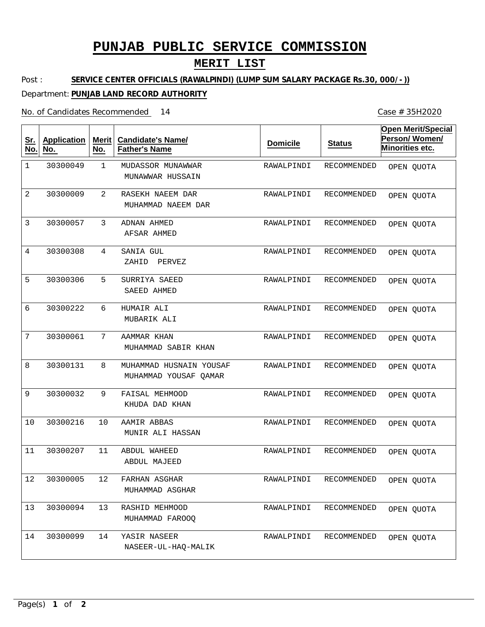# **PUNJAB PUBLIC SERVICE COMMISSION**

## **MERIT LIST**

Post : **SERVICE CENTER OFFICIALS (RAWALPINDI) (LUMP SUM SALARY PACKAGE Rs.30, 000/-))**

### Department: **PUNJAB LAND RECORD AUTHORITY**

No. of Candidates Recommended

Case # 35H2020

| <u>Sr.</u><br>No. | <b>Application</b><br>No. | <b>Merit</b><br>No. | <b>Candidate's Name/</b><br><b>Father's Name</b> | <b>Domicile</b> | <b>Status</b> | <b>Open Merit/Special</b><br>Person/Women/<br>Minorities etc. |
|-------------------|---------------------------|---------------------|--------------------------------------------------|-----------------|---------------|---------------------------------------------------------------|
| $\mathbf 1$       | 30300049                  | $\mathbf{1}$        | MUDASSOR MUNAWWAR<br>MUNAWWAR HUSSAIN            | RAWALPINDI      | RECOMMENDED   | OPEN QUOTA                                                    |
| $\overline{2}$    | 30300009                  | $\overline{2}$      | RASEKH NAEEM DAR<br>MUHAMMAD NAEEM DAR           | RAWALPINDI      | RECOMMENDED   | OPEN QUOTA                                                    |
| 3                 | 30300057                  | 3                   | ADNAN AHMED<br>AFSAR AHMED                       | RAWALPINDI      | RECOMMENDED   | OPEN QUOTA                                                    |
| $\overline{4}$    | 30300308                  | 4                   | SANIA GUL<br>ZAHID<br>PERVEZ                     | RAWALPINDI      | RECOMMENDED   | OPEN QUOTA                                                    |
| 5                 | 30300306                  | 5                   | SURRIYA SAEED<br>SAEED AHMED                     | RAWALPINDI      | RECOMMENDED   | OPEN QUOTA                                                    |
| 6                 | 30300222                  | 6                   | HUMAIR ALI<br>MUBARIK ALI                        | RAWALPINDI      | RECOMMENDED   | OPEN QUOTA                                                    |
| 7                 | 30300061                  | 7                   | AAMMAR KHAN<br>MUHAMMAD SABIR KHAN               | RAWALPINDI      | RECOMMENDED   | OPEN QUOTA                                                    |
| 8                 | 30300131                  | 8                   | MUHAMMAD HUSNAIN YOUSAF<br>MUHAMMAD YOUSAF QAMAR | RAWALPINDI      | RECOMMENDED   | OPEN QUOTA                                                    |
| 9                 | 30300032                  | 9                   | FAISAL MEHMOOD<br>KHUDA DAD KHAN                 | RAWALPINDI      | RECOMMENDED   | OPEN QUOTA                                                    |
| 10                | 30300216                  | 10                  | AAMIR ABBAS<br>MUNIR ALI HASSAN                  | RAWALPINDI      | RECOMMENDED   | OPEN QUOTA                                                    |
| 11                | 30300207                  | 11                  | ABDUL WAHEED<br>ABDUL MAJEED                     | RAWALPINDI      | RECOMMENDED   | OPEN QUOTA                                                    |
| 12                | 30300005                  | 12                  | FARHAN ASGHAR<br>MUHAMMAD ASGHAR                 | RAWALPINDI      | RECOMMENDED   | OPEN QUOTA                                                    |
| 13                | 30300094                  | 13                  | RASHID MEHMOOD<br>MUHAMMAD FAROOO                | RAWALPINDI      | RECOMMENDED   | OPEN QUOTA                                                    |
| 14                | 30300099                  | 14                  | YASIR NASEER<br>NASEER-UL-HAQ-MALIK              | RAWALPINDI      | RECOMMENDED   | OPEN QUOTA                                                    |